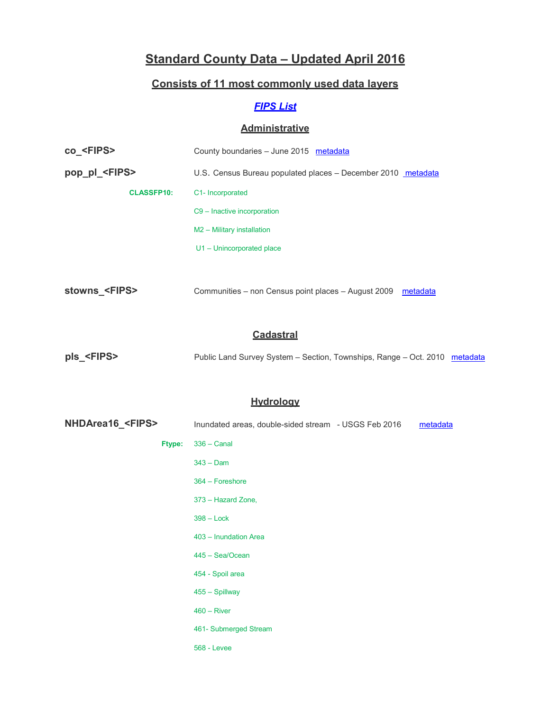# **Standard County Data – Updated April 2016**

### **Consists of 11 most commonly used data layers**

## *[FIPS](http://www.maris.state.ms.us/HTM/misc/FIPS.html) List*

#### **Administrative**

| co <fips></fips>      | County boundaries - June 2015 metadata                       |  |  |
|-----------------------|--------------------------------------------------------------|--|--|
| pop_pl_ <fips></fips> | U.S. Census Bureau populated places - December 2010 metadata |  |  |
| <b>CLASSFP10:</b>     | C1- Incorporated                                             |  |  |
|                       | C9 - Inactive incorporation                                  |  |  |
|                       | M2 - Military installation                                   |  |  |
|                       | U1 - Unincorporated place                                    |  |  |
|                       |                                                              |  |  |

**stowns\_<FIPS>** Communities – non Census point places – August 2009 [metadata](https://www.maris.state.ms.us/METADATA/HTML/communities.html)

#### **Cadastral**

| pls_ <fips></fips> |  |  |  |  | Public Land Survey System - Section, Townships, Range - Oct. 2010 metadata |  |
|--------------------|--|--|--|--|----------------------------------------------------------------------------|--|
|--------------------|--|--|--|--|----------------------------------------------------------------------------|--|

#### **Hydrology**

| NHDArea16_ <fips></fips> | Inundated areas, double-sided stream - USGS Feb 2016<br>metadata |
|--------------------------|------------------------------------------------------------------|
| <b>Ftype:</b>            | $336 -$ Canal                                                    |
|                          | $343 -$ Dam                                                      |
|                          | 364 - Foreshore                                                  |
|                          | 373 - Hazard Zone,                                               |
|                          | $398 - Lock$                                                     |
|                          | 403 - Inundation Area                                            |
|                          | 445 - Sea/Ocean                                                  |
|                          | 454 - Spoil area                                                 |
|                          | 455 - Spillway                                                   |
|                          | $460 - River$                                                    |
|                          | 461- Submerged Stream                                            |
|                          | <b>568 - Levee</b>                                               |